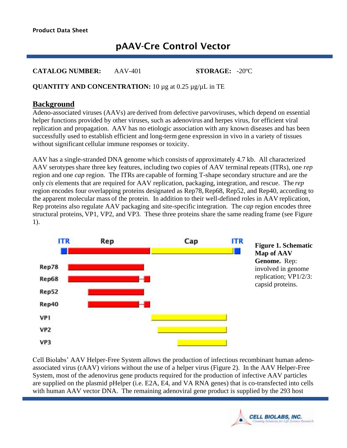# pAAV-Cre Control Vector

**CATALOG NUMBER:** AAV-401 **STORAGE:** -20ºC

#### **QUANTITY AND CONCENTRATION:** 10 µg at 0.25 µg/µL in TE

#### **Background**

Adeno-associated viruses (AAVs) are derived from defective parvoviruses, which depend on essential helper functions provided by other viruses, such as adenovirus and herpes virus, for efficient viral replication and propagation. AAV has no etiologic association with any known diseases and has been successfully used to establish efficient and long-term gene expression in vivo in a variety of tissues without significant cellular immune responses or toxicity.

AAV has a single-stranded DNA genome which consists of approximately 4.7 kb. All characterized AAV serotypesshare three key features, including two copies of AAV terminal repeats (ITRs), one *rep* region and one *cap* region. The ITRs are capable of forming T-shape secondary structure and are the only *cis* elements that are required for AAV replication, packaging, integration, and rescue. The *rep* region encodes four overlapping proteins designated as Rep78, Rep68, Rep52, and Rep40, according to the apparent molecular mass of the protein. In addition to their well-defined roles in AAV replication, Rep proteins also regulate AAV packaging and site-specific integration. The *cap* region encodes three structural proteins, VP1, VP2, and VP3. These three proteins share the same reading frame (see Figure 1).



**Figure 1. Schematic Map of AAV Genome.** Rep: involved in genome replication; VP1/2/3: capsid proteins.

Cell Biolabs' AAV Helper-Free System allows the production of infectious recombinant human adenoassociated virus (rAAV) virions without the use of a helper virus (Figure 2). In the AAV Helper-Free System, most of the adenovirus gene products required for the production of infective AAV particles are supplied on the plasmid pHelper (i.e. E2A, E4, and VA RNA genes) that is co-transfected into cells with human AAV vector DNA. The remaining adenoviral gene product is supplied by the 293 host

I

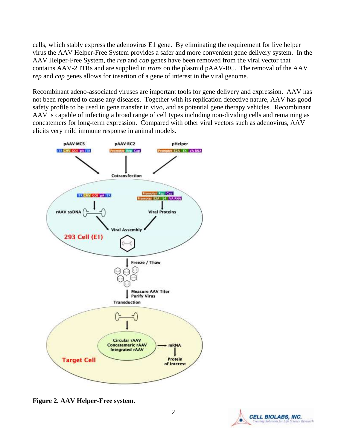cells, which stably express the adenovirus E1 gene. By eliminating the requirement for live helper virus the AAV Helper-Free System provides a safer and more convenient gene delivery system. In the AAV Helper-Free System, the *rep* and *cap* genes have been removed from the viral vector that contains AAV-2 ITRs and are supplied in *trans* on the plasmid pAAV-RC. The removal of the AAV *rep* and *cap* genes allows for insertion of a gene of interest in the viral genome.

Recombinant adeno-associated viruses are important tools for gene delivery and expression. AAV has not been reported to cause any diseases. Together with its replication defective nature, AAV has good safety profile to be used in gene transfer in vivo, and as potential gene therapy vehicles. Recombinant AAV is capable of infecting a broad range of cell types including non-dividing cells and remaining as concatemers for long-term expression. Compared with other viral vectors such as adenovirus, AAV elicits very mild immune response in animal models.



**Figure 2. AAV Helper-Free system**.

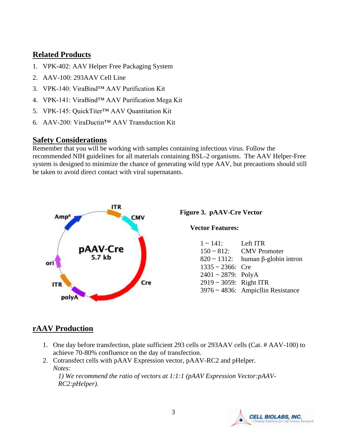### **Related Products**

- 1. VPK-402: AAV Helper Free Packaging System
- 2. AAV-100: 293AAV Cell Line
- 3. VPK-140: ViraBind™ AAV Purification Kit
- 4. VPK-141: ViraBind™ AAV Purification Mega Kit
- 5. VPK-145: QuickTiter™ AAV Quantitation Kit
- 6. AAV-200: ViraDuctin™ AAV Transduction Kit

### **Safety Considerations**

Remember that you will be working with samples containing infectious virus. Follow the recommended NIH guidelines for all materials containing BSL-2 organisms. The AAV Helper-Free system is designed to minimize the chance of generating wild type AAV, but precautions should still be taken to avoid direct contact with viral supernatants.



**Figure 3. pAAV-Cre Vector** 

**Vector Features:**

| Left ITR                                       |
|------------------------------------------------|
| <b>CMV</b> Promoter                            |
| $820 \sim 1312$ : human $\beta$ -globin intron |
| $1335 \approx 2366$ : Cre                      |
| $2401 \sim 2879$ : PolyA                       |
| $2919 \sim 3059$ : Right ITR                   |
| $3976 \sim 4836$ : Ampicllin Resistance        |
|                                                |

# **rAAV Production**

- 1. One day before transfection, plate sufficient 293 cells or 293AAV cells (Cat. # AAV-100) to achieve 70-80% confluence on the day of transfection.
- 2. Cotransfect cells with pAAV Expression vector, pAAV-RC2 and pHelper. *Notes:*

*1) We recommend the ratio of vectors at 1:1:1 (pAAV Expression Vector:pAAV-RC2:pHelper).* 

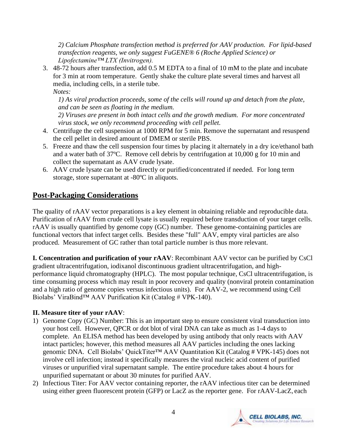*2) Calcium Phosphate transfection method is preferred for AAV production. For lipid-based transfection reagents, we only suggest FuGENE® 6 (Roche Applied Science) or Lipofectamine™ LTX (Invitrogen).* 

3. 48-72 hours after transfection, add 0.5 M EDTA to a final of 10 mM to the plate and incubate for 3 min at room temperature. Gently shake the culture plate several times and harvest all media, including cells, in a sterile tube. *Notes:* 

*1) As viral production proceeds, some of the cells will round up and detach from the plate, and can be seen as floating in the medium.* 

*2) Viruses are present in both intact cells and the growth medium. For more concentrated virus stock, we only recommend proceeding with cell pellet.* 

- 4. Centrifuge the cell suspension at 1000 RPM for 5 min. Remove the supernatant and resuspend the cell pellet in desired amount of DMEM or sterile PBS.
- 5. Freeze and thaw the cell suspension four times by placing it alternately in a dry ice/ethanol bath and a water bath of 37ºC. Remove cell debris by centrifugation at 10,000 g for 10 min and collect the supernatant as AAV crude lysate.
- 6. AAV crude lysate can be used directly or purified/concentrated if needed. For long term storage, store supernatant at -80ºC in aliquots.

# **Post-Packaging Considerations**

The quality of rAAV vector preparations is a key element in obtaining reliable and reproducible data. Purification of rAAV from crude cell lysate is usually required before transduction of your target cells. rAAV is usually quantified by genome copy (GC) number. These genome-containing particles are functional vectors that infect target cells. Besides these "full" AAV, empty viral particles are also produced. Measurement of GC rather than total particle number is thus more relevant.

**I. Concentration and purification of your rAAV**: Recombinant AAV vector can be purified by CsCl gradient ultracentrifugation, iodixanol discontinuous gradient ultracentrifugation, and highperformance liquid chromatography (HPLC). The most popular technique, CsCl ultracentrifugation, is time consuming process which may result in poor recovery and quality (nonviral protein contamination and a high ratio of genome copies versus infectious units). For AAV-2, we recommend using Cell Biolabs' ViraBind™ AAV Purification Kit (Catalog # VPK-140).

#### **II. Measure titer of your rAAV**:

- 1) Genome Copy (GC) Number: This is an important step to ensure consistent viral transduction into your host cell. However, QPCR or dot blot of viral DNA can take as much as 1-4 days to complete. An ELISA method has been developed by using antibody that only reacts with AAV intact particles; however, this method measures all AAV particles including the ones lacking genomic DNA. Cell Biolabs' QuickTiter™ AAV Quantitation Kit (Catalog # VPK-145) does not involve cell infection; instead it specifically measures the viral nucleic acid content of purified viruses or unpurified viral supernatant sample. The entire procedure takes about 4 hours for unpurified supernatant or about 30 minutes for purified AAV.
- 2) Infectious Titer: For AAV vector containing reporter, the rAAV infectious titer can be determined using either green fluorescent protein (GFP) or LacZ as the reporter gene. For rAAV-LacZ, each

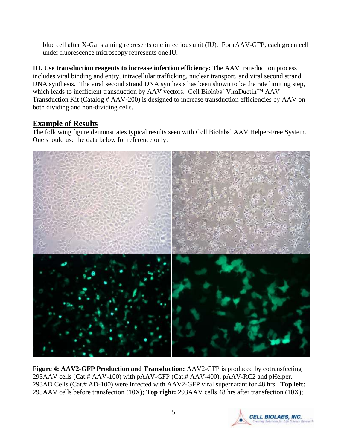blue cell after X-Gal staining represents one infectious unit (IU). For rAAV-GFP, each green cell under fluorescence microscopy represents one IU.

**III. Use transduction reagents to increase infection efficiency:** The AAV transduction process includes viral binding and entry, intracellular trafficking, nuclear transport, and viral second strand DNA synthesis. The viral second strand DNA synthesis has been shown to be the rate limiting step, which leads to inefficient transduction by AAV vectors. Cell Biolabs' ViraDuctin™ AAV Transduction Kit (Catalog # AAV-200) is designed to increase transduction efficiencies by AAV on both dividing and non-dividing cells.

# **Example of Results**

The following figure demonstrates typical results seen with Cell Biolabs' AAV Helper-Free System. One should use the data below for reference only.



**Figure 4: AAV2-GFP Production and Transduction:** AAV2-GFP is produced by cotransfecting 293AAV cells (Cat.# AAV-100) with pAAV-GFP (Cat.# AAV-400), pAAV-RC2 and pHelper. 293AD Cells (Cat.# AD-100) were infected with AAV2-GFP viral supernatant for 48 hrs. **Top left:** 293AAV cells before transfection (10X); **Top right:** 293AAV cells 48 hrs after transfection (10X);

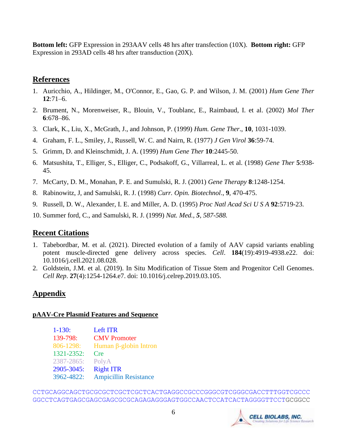**Bottom left:** GFP Expression in 293AAV cells 48 hrs after transfection (10X). **Bottom right:** GFP Expression in 293AD cells 48 hrs after transduction (20X).

# **References**

- 1. Auricchio, A., Hildinger, M., O'Connor, E., Gao, G. P. and Wilson, J. M. (2001) *Hum Gene Ther*  **12**:71–6.
- 2. Brument, N., Morenweiser, R., Blouin, V., Toublanc, E., Raimbaud, I. et al. (2002) *Mol Ther*  **6**:678–86.
- 3. Clark, K., Liu, X., McGrath, J., and Johnson, P. (1999) *Hum. Gene Ther*., **10**, 1031-1039.
- 4. Graham, F. L., Smiley, J., Russell, W. C. and Nairn, R. (1977) *J Gen Virol* **36**:59-74.
- 5. Grimm, D. and Kleinschmidt, J. A. (1999) *Hum Gene Ther* **10**:2445-50.
- 6. Matsushita, T., Elliger, S., Elliger, C., Podsakoff, G., Villarreal, L. et al. (1998) *Gene Ther* **5**:938- 45.
- 7. McCarty, D. M., Monahan, P. E. and Sumulski, R. J. (2001) *Gene Therapy* **8**:1248-1254.
- 8. Rabinowitz, J, and Samulski, R. J. (1998) *Curr. Opin. Biotechnol*., **9**, 470-475.
- 9. Russell, D. W., Alexander, I. E. and Miller, A. D. (1995) *Proc Natl Acad Sci U S A* **92**:5719-23.
- 10. Summer ford, C., and Samulski, R. J. (1999) *Nat. Med., 5, 587-588.*

# **Recent Citations**

- 1. Tabebordbar, M. et al. (2021). Directed evolution of a family of AAV capsid variants enabling potent muscle-directed gene delivery across species. *Cell*. **184**(19):4919-4938.e22. doi: 10.1016/j.cell.2021.08.028.
- 2. Goldstein, J.M. et al. (2019). In Situ Modification of Tissue Stem and Progenitor Cell Genomes. *Cell Rep*. **27**(4):1254-1264.e7. doi: 10.1016/j.celrep.2019.03.105.

# **Appendix**

#### **pAAV-Cre Plasmid Features and Sequence**

1-130: Left ITR 139-798: CMV Promoter 806-1298: Human β-globin Intron 1321-2352: Cre 2387-2865: PolyA 2905-3045: Right ITR 3962-4822: Ampicillin Resistance

CCTGCAGGCAGCTGCGCGCTCGCTCGCTCACTGAGGCCGCCCGGGCGTCGGGCGACCTTTGGTCGCCC GGCCTCAGTGAGCGAGCGAGCGCGCAGAGAGGGAGTGGCCAACTCCATCACTAGGGGTTCCTGCGGCC

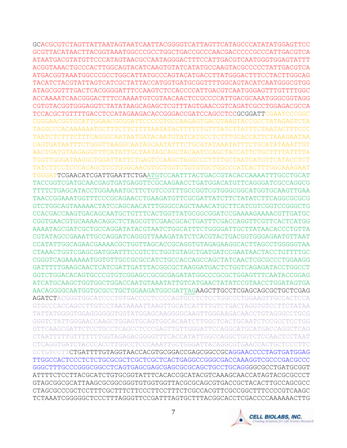GCACGCGTCTAGTTATTAATAGTAATCAATTACGGGGTCATTAGTTCATAGCCCATATATGGAGTTCC GCGTTACATAACTTACGGTAAATGGCCCGCCTGGCTGACCGCCCAACGACCCCCGCCCATTGACGTCA ATAATGACGTATGTTCCCATAGTAACGCCAATAGGGACTTTCCATTGACGTCAATGGGTGGAGTATTT ACGGTAAACTGCCCACTTGGCAGTACATCAAGTGTATCATATGCCAAGTACGCCCCCTATTGACGTCA ATGACGGTAAATGGCCCGCCTGGCATTATGCCCAGTACATGACCTTATGGGACTTTCCTACTTGGCAG TACATCTACGTATTAGTCATCGCTATTACCATGGTGATGCGGTTTTGGCAGTACATCAATGGGCGTGG ATAGCGGTTTGACTCACGGGGATTTCCAAGTCTCCACCCCATTGACGTCAATGGGAGTTTGTTTTGGC ACCAAAATCAACGGGACTTTCCAAAATGTCGTAACAACTCCGCCCCATTGACGCAAATGGGCGGTAGG CGTGTACGGTGGGAGGTCTATATAAGCAGAGCTCGTTTAGTGAACCGTCAGATCGCCTGGAGACGCCA TCCACGCTGTTTTGACCTCCATAGAAGACACCGGGACCGATCCAGCCTCCGCGGATTCGAATCCCGGC CGGGAACGGTGCATTGGAACGCGGATTCCCCGTGCCAAGAGTGACGTAAGTACCGCCTATAGAGTCTA TAGGCCCACAAAAAATGCTTTCTTCTTTTAATATACTTTTTTGTTTATCTTATTTCTAATACTTTCCC TAATCTCTTTCTTTCAGGGCAATAATGATACAATGTATCATGCCTCTTTGCACCATTCTAAAGAATAA CAGTGATAATTTCTGGGTTAAGGCAATAGCAATATTTCTGCATATAAATATTTCTGCATATAAATTGT AACTGATGTAAGAGGTTTCATATTGCTAATAGCAGCTACAATCCAGCTACCATTCTGCTTTTATTTTA TGGTTGGGATAAGGCTGGATTATTCTGAGTCCAAGCTAGGCCCTTTTGCTAATCATGTTCATACCTCT TATCTTCCTCCCACAGCTCCTGGGCAACGTGCTGGTCTGTGTGCTGGCCCATCACTTTGGCAAAGAAT TGGGATTCGAACATCGATTGAATTCTGAATGTCCAATTTACTGACCGTACACCAAAATTTGCCTGCAT TACCGGTCGATGCAACGAGTGATGAGGTTCGCAAGAACCTGATGGACATGTTCAGGGATCGCCAGGCG TTTTCTGAGCATACCTGGAAAATGCTTCTGTCCGTTTGCCGGTCGTGGGCGGCATGGTGCAAGTTGAA TAACCGGAAATGGTTTCCCGCAGAACCTGAAGATGTTCGCGATTATCTTCTATATCTTCAGGCGCGCG GTCTGGCAGTAAAAACTATCCAGCAACATTTGGGCCAGCTAAACATGCTTCATCGTCGGTCCGGGCTG CCACGACCAAGTGACAGCAATGCTGTTTCACTGGTTATGCGGCGGATCCGAAAAGAAAACGTTGATGC CGGTGAACGTGCAAAACAGGCTCTAGCGTTCGAACGCACTGATTTCGACCAGGTTCGTTCACTCATGG AAAATAGCGATCGCTGCCAGGATATACGTAATCTGGCATTTCTGGGGATTGCTTATAACACCCTGTTA CGTATAGCCGAAATTGCCAGGATCAGGGTTAAAGATATCTCACGTACTGACGGTGGGAGAATGTTAAT CCATATTGGCAGAACGAAAACGCTGGTTAGCACCGCAGGTGTAGAGAAGGCACTTAGCCTGGGGGTAA CTAAACTGGTCGAGCGATGGATTTCCGTCTCTGGTGTAGCTGATGATCCGAATAACTACCTGTTTTGC CGGGTCAGAAAAAATGGTGTTGCCGCGCCATCTGCCACCAGCCAGCTATCAACTCGCGCCCTGGAAGG GATTTTTGAAGCAACTCATCGATTGATTTACGGCGCTAAGGATGACTCTGGTCAGAGATACCTGGCCT GGTCTGGACACAGTGCCCGTGTCGGAGCCGCGCGAGATATGGCCCGCGCTGGAGTTTCAATACCGGAG ATCATGCAAGCTGGTGGCTGGACCAATGTAAATATTGTCATGAACTATATCCGTAACCTGGATAGTGA AACAGGGGCAATGGTGCGCCTGCTGGAAGATGGCGATTAGAAGCTTGCCTCGAGCAGCGCTGCTCGAG AGATCTACGGGTGGCATCCCTGTGACCCCTCCCCAGTGCCTCTCCTGGCCCTGGAAGTTGCCACTCCA GTGCCCACCAGCCTTGTCCTAATAAAATTAAGTTGCATCATTTTGTCTGACTAGGTGTCCTTCTATAA TATTATGGGGTGGAGGGGGGTGGTATGGAGCAAGGGGCAAGTTGGGAAGACAACCTGTAGGGCCTGCG GGGTCTATTGGGAACCAAGCTGGAGTGCAGTGGCACAATCTTGGCTCACTGCAATCTCCGCCTCCTGG GTTCAAGCGATTCTCCTGCCTCAGCCTCCCGAGTTGTTGGGATTCCAGGCATGCATGACCAGGCTCAG CTAATTTTTGTTTTTTTGGTAGAGACGGGGTTTCACCATATTGGCCAGGCTGGTCTCCAACTCCTAAT CTCAGGTGATCTACCCACCTTGGCCTCCCAAATTGCTGGGATTACAGGCGTGAACCACTGCTCCCTTC CCTGTCCTTCTGATTTTGTAGGTAACCACGTGCGGACCGAGCGGCCGCAGGAACCCCTAGTGATGGAG TTGGCCACTCCCTCTCTGCGCGCTCGCTCGCTCACTGAGGCCGGGCGACCAAAGGTCGCCCGACGCCC GGGCTTTGCCCGGGCGGCCTCAGTGAGCGAGCGAGCGCGCAGCTGCCTGCAGGGGCGCCTGATGCGGT ATTTTCTCCTTACGCATCTGTGCGGTATTTCACACCGCATACGTCAAAGCAACCATAGTACGCGCCCT GTAGCGGCGCATTAAGCGCGGCGGGTGTGGTGGTTACGCGCAGCGTGACCGCTACACTTGCCAGCGCC CTAGCGCCCGCTCCTTTCGCTTTCTTCCCTTCCTTTCTCGCCACGTTCGCCGGCTTTCCCCGTCAAGC TCTAAATCGGGGGCTCCCTTTAGGGTTCCGATTTAGTGCTTTACGGCACCTCGACCCCAAAAAACTTG

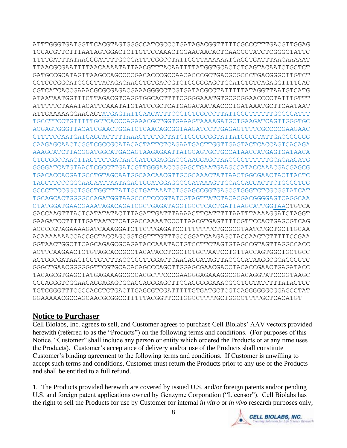ATTTGGGTGATGGTTCACGTAGTGGGCCATCGCCCTGATAGACGGTTTTTCGCCCTTTGACGTTGGAG TCCACGTTCTTTAATAGTGGACTCTTGTTCCAAACTGGAACAACACTCAACCCTATCTCGGGCTATTC TTTTGATTTATAAGGGATTTTGCCGATTTCGGCCTATTGGTTAAAAAATGAGCTGATTTAACAAAAAT TTAACGCGAATTTTAACAAAATATTAACGTTTACAATTTTATGGTGCACTCTCAGTACAATCTGCTCT GATGCCGCATAGTTAAGCCAGCCCCGACACCCGCCAACACCCGCTGACGCGCCCTGACGGGCTTGTCT GCTCCCGGCATCCGCTTACAGACAAGCTGTGACCGTCTCCGGGAGCTGCATGTGTCAGAGGTTTTCAC CGTCATCACCGAAACGCGCGAGACGAAAGGGCCTCGTGATACGCCTATTTTTATAGGTTAATGTCATG ATAATAATGGTTTCTTAGACGTCAGGTGGCACTTTTCGGGGAAATGTGCGCGGAACCCCTATTTGTTT ATTTTTCTAAATACATTCAAATATGTATCCGCTCATGAGACAATAACCCTGATAAATGCTTCAATAAT ATTGAAAAAGGAAGAGTATGAGTATTCAACATTTCCGTGTCGCCCTTATTCCCTTTTTTGCGGCATTT TGCCTTCCTGTTTTTGCTCACCCAGAAACGCTGGTGAAAGTAAAAGATGCTGAAGATCAGTTGGGTGC ACGAGTGGGTTACATCGAACTGGATCTCAACAGCGGTAAGATCCTTGAGAGTTTTCGCCCCGAAGAAC GTTTTCCAATGATGAGCACTTTTAAAGTTCTGCTATGTGGCGCGGTATTATCCCGTATTGACGCCGGG CAAGAGCAACTCGGTCGCCGCATACACTATTCTCAGAATGACTTGGTTGAGTACTCACCAGTCACAGA AAAGCATCTTACGGATGGCATGACAGTAAGAGAATTATGCAGTGCTGCCATAACCATGAGTGATAACA CTGCGGCCAACTTACTTCTGACAACGATCGGAGGACCGAAGGAGCTAACCGCTTTTTTGCACAACATG GGGGATCATGTAACTCGCCTTGATCGTTGGGAACCGGAGCTGAATGAAGCCATACCAAACGACGAGCG TGACACCACGATGCCTGTAGCAATGGCAACAACGTTGCGCAAACTATTAACTGGCGAACTACTTACTC TAGCTTCCCGGCAACAATTAATAGACTGGATGGAGGCGGATAAAGTTGCAGGACCACTTCTGCGCTCG GCCCTTCCGGCTGGCTGGTTTATTGCTGATAAATCTGGAGCCGGTGAGCGTGGGTCTCGCGGTATCAT TGCAGCACTGGGGCCAGATGGTAAGCCCTCCCGTATCGTAGTTATCTACACGACGGGGAGTCAGGCAA CTATGGATGAACGAAATAGACAGATCGCTGAGATAGGTGCCTCACTGATTAAGCATTGGTAACTGTCA GACCAAGTTTACTCATATATACTTTAGATTGATTTAAAACTTCATTTTTAATTTAAAAGGATCTAGGT GAAGATCCTTTTTGATAATCTCATGACCAAAATCCCTTAACGTGAGTTTTCGTTCCACTGAGCGTCAG ACCCCGTAGAAAAGATCAAAGGATCTTCTTGAGATCCTTTTTTTCTGCGCGTAATCTGCTGCTTGCAA ACAAAAAAACCACCGCTACCAGCGGTGGTTTGTTTGCCGGATCAAGAGCTACCAACTCTTTTTCCGAA GGTAACTGGCTTCAGCAGAGCGCAGATACCAAATACTGTCCTTCTAGTGTAGCCGTAGTTAGGCCACC ACTTCAAGAACTCTGTAGCACCGCCTACATACCTCGCTCTGCTAATCCTGTTACCAGTGGCTGCTGCC AGTGGCGATAAGTCGTGTCTTACCGGGTTGGACTCAAGACGATAGTTACCGGATAAGGCGCAGCGGTC GGGCTGAACGGGGGGTTCGTGCACACAGCCCAGCTTGGAGCGAACGACCTACACCGAACTGAGATACC TACAGCGTGAGCTATGAGAAAGCGCCACGCTTCCCGAAGGGAGAAAGGCGGACAGGTATCCGGTAAGC GGCAGGGTCGGAACAGGAGAGCGCACGAGGGAGCTTCCAGGGGGAAACGCCTGGTATCTTTATAGTCC TGTCGGGTTTCGCCACCTCTGACTTGAGCGTCGATTTTTGTGATGCTCGTCAGGGGGGCGGAGCCTAT GGAAAAACGCCAGCAACGCGGCCTTTTTACGGTTCCTGGCCTTTTGCTGGCCTTTTGCTCACATGT

# **Notice to Purchaser**

Cell Biolabs, Inc. agrees to sell, and Customer agrees to purchase Cell Biolabs' AAV vectors provided herewith (referred to as the "Products") on the following terms and conditions. (For purposes of this Notice, "Customer" shall include any person or entity which ordered the Products or at any time uses the Products). Customer's acceptance of delivery and/or use of the Products shall constitute Customer's binding agreement to the following terms and conditions. If Customer is unwilling to accept such terms and conditions, Customer must return the Products prior to any use of the Products and shall be entitled to a full refund.

1. The Products provided herewith are covered by issued U.S. and/or foreign patents and/or pending U.S. and foreign patent applications owned by Genzyme Corporation ("Licensor"). Cell Biolabs has the right to sell the Products for use by Customer for internal *in vitro* or *in vivo* research purposes only,

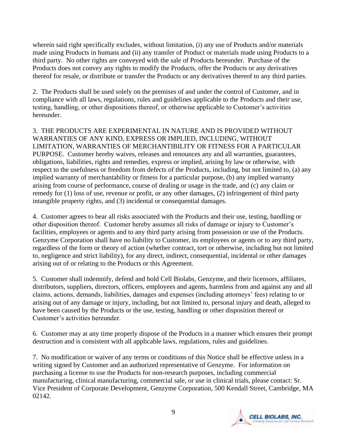wherein said right specifically excludes, without limitation, (i) any use of Products and/or materials made using Products in humans and (ii) any transfer of Product or materials made using Products to a third party. No other rights are conveyed with the sale of Products hereunder. Purchase of the Products does not convey any rights to modify the Products, offer the Products or any derivatives thereof for resale, or distribute or transfer the Products or any derivatives thereof to any third parties.

2. The Products shall be used solely on the premises of and under the control of Customer, and in compliance with all laws, regulations, rules and guidelines applicable to the Products and their use, testing, handling, or other dispositions thereof, or otherwise applicable to Customer's activities hereunder.

3. THE PRODUCTS ARE EXPERIMENTAL IN NATURE AND IS PROVIDED WITHOUT WARRANTIES OF ANY KIND, EXPRESS OR IMPLIED, INCLUDING, WITHOUT LIMITATION, WARRANTIES OF MERCHANTIBILITY OR FITNESS FOR A PARTICULAR PURPOSE. Customer hereby waives, releases and renounces any and all warranties, guarantees, obligations, liabilities, rights and remedies, express or implied, arising by law or otherwise, with respect to the usefulness or freedom from defects of the Products, including, but not limited to, (a) any implied warranty of merchantability or fitness for a particular purpose, (b) any implied warranty arising from course of performance, course of dealing or usage in the trade, and (c) any claim or remedy for (1) loss of use, revenue or profit, or any other damages, (2) infringement of third party intangible property rights, and (3) incidental or consequential damages.

4. Customer agrees to bear all risks associated with the Products and their use, testing, handling or other disposition thereof. Customer hereby assumes all risks of damage or injury to Customer's facilities, employees or agents and to any third party arising from possession or use of the Products. Genzyme Corporation shall have no liability to Customer, its employees or agents or to any third party, regardless of the form or theory of action (whether contract, tort or otherwise, including but not limited to, negligence and strict liability), for any direct, indirect, consequential, incidental or other damages arising out of or relating to the Products or this Agreement.

5. Customer shall indemnify, defend and hold Cell Biolabs, Genzyme, and their licensors, affiliates, distributors, suppliers, directors, officers, employees and agents, harmless from and against any and all claims, actions, demands, liabilities, damages and expenses (including attorneys' fees) relating to or arising out of any damage or injury, including, but not limited to, personal injury and death, alleged to have been caused by the Products or the use, testing, handling or other disposition thereof or Customer's activities hereunder.

6. Customer may at any time properly dispose of the Products in a manner which ensures their prompt destruction and is consistent with all applicable laws, regulations, rules and guidelines.

7. No modification or waiver of any terms or conditions of this Notice shall be effective unless in a writing signed by Customer and an authorized representative of Genzyme. For information on purchasing a license to use the Products for non-research purposes, including commercial manufacturing, clinical manufacturing, commercial sale, or use in clinical trials, please contact: Sr. Vice President of Corporate Development, Genzyme Corporation, 500 Kendall Street, Cambridge, MA 02142.